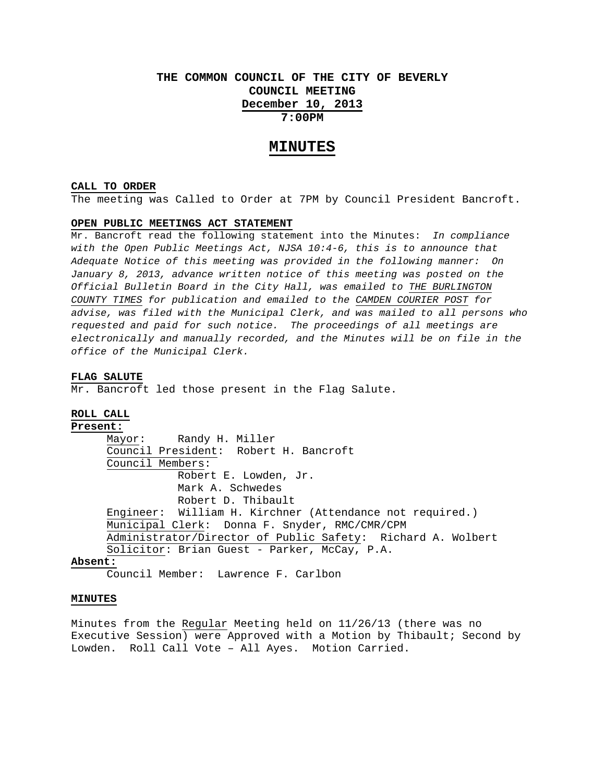# **THE COMMON COUNCIL OF THE CITY OF BEVERLY COUNCIL MEETING December 10, 2013 7:00PM**

# **MINUTES**

#### **CALL TO ORDER**

The meeting was Called to Order at 7PM by Council President Bancroft.

### **OPEN PUBLIC MEETINGS ACT STATEMENT**

Mr. Bancroft read the following statement into the Minutes: *In compliance with the Open Public Meetings Act, NJSA 10:4-6, this is to announce that Adequate Notice of this meeting was provided in the following manner: On January 8, 2013, advance written notice of this meeting was posted on the Official Bulletin Board in the City Hall, was emailed to THE BURLINGTON COUNTY TIMES for publication and emailed to the CAMDEN COURIER POST for advise, was filed with the Municipal Clerk, and was mailed to all persons who requested and paid for such notice. The proceedings of all meetings are electronically and manually recorded, and the Minutes will be on file in the office of the Municipal Clerk.* 

#### **FLAG SALUTE**

Mr. Bancroft led those present in the Flag Salute.

# **ROLL CALL Present:**

 Mayor: Randy H. Miller Council President: Robert H. Bancroft Council Members: Robert E. Lowden, Jr. Mark A. Schwedes Robert D. Thibault Engineer: William H. Kirchner (Attendance not required.) Municipal Clerk: Donna F. Snyder, RMC/CMR/CPM Administrator/Director of Public Safety: Richard A. Wolbert Solicitor: Brian Guest - Parker, McCay, P.A.

#### **Absent:**

Council Member: Lawrence F. Carlbon

#### **MINUTES**

Minutes from the Regular Meeting held on 11/26/13 (there was no Executive Session) were Approved with a Motion by Thibault; Second by Lowden. Roll Call Vote – All Ayes. Motion Carried.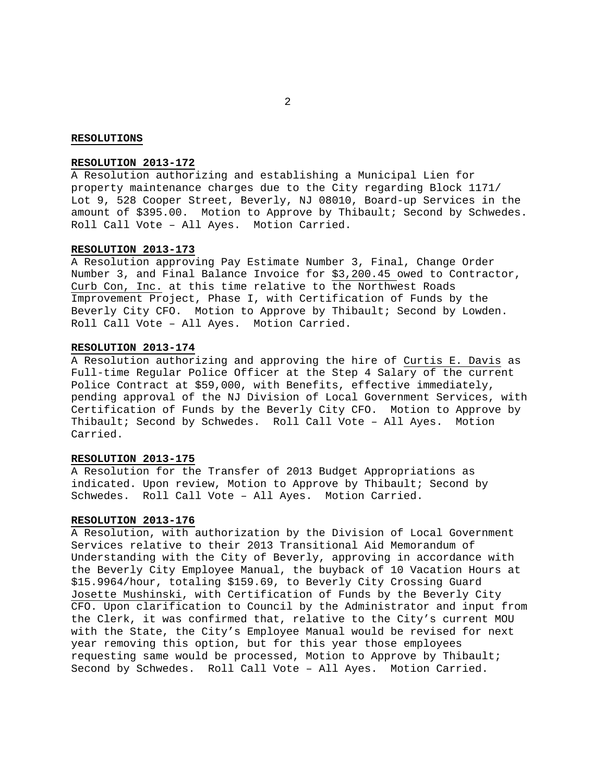#### **RESOLUTIONS**

# **RESOLUTION 2013-172**

A Resolution authorizing and establishing a Municipal Lien for property maintenance charges due to the City regarding Block 1171/ Lot 9, 528 Cooper Street, Beverly, NJ 08010, Board-up Services in the amount of \$395.00. Motion to Approve by Thibault; Second by Schwedes. Roll Call Vote – All Ayes. Motion Carried.

#### **RESOLUTION 2013-173**

A Resolution approving Pay Estimate Number 3, Final, Change Order Number 3, and Final Balance Invoice for \$3,200.45 owed to Contractor, Curb Con, Inc. at this time relative to the Northwest Roads Improvement Project, Phase I, with Certification of Funds by the Beverly City CFO. Motion to Approve by Thibault; Second by Lowden. Roll Call Vote – All Ayes. Motion Carried.

# **RESOLUTION 2013-174**

A Resolution authorizing and approving the hire of Curtis E. Davis as Full-time Regular Police Officer at the Step 4 Salary of the current Police Contract at \$59,000, with Benefits, effective immediately, pending approval of the NJ Division of Local Government Services, with Certification of Funds by the Beverly City CFO. Motion to Approve by Thibault; Second by Schwedes. Roll Call Vote – All Ayes. Motion Carried.

## **RESOLUTION 2013-175**

A Resolution for the Transfer of 2013 Budget Appropriations as indicated. Upon review, Motion to Approve by Thibault; Second by Schwedes. Roll Call Vote – All Ayes. Motion Carried.

#### **RESOLUTION 2013-176**

A Resolution, with authorization by the Division of Local Government Services relative to their 2013 Transitional Aid Memorandum of Understanding with the City of Beverly, approving in accordance with the Beverly City Employee Manual, the buyback of 10 Vacation Hours at \$15.9964/hour, totaling \$159.69, to Beverly City Crossing Guard Josette Mushinski, with Certification of Funds by the Beverly City CFO. Upon clarification to Council by the Administrator and input from the Clerk, it was confirmed that, relative to the City's current MOU with the State, the City's Employee Manual would be revised for next year removing this option, but for this year those employees requesting same would be processed, Motion to Approve by Thibault; Second by Schwedes. Roll Call Vote – All Ayes. Motion Carried.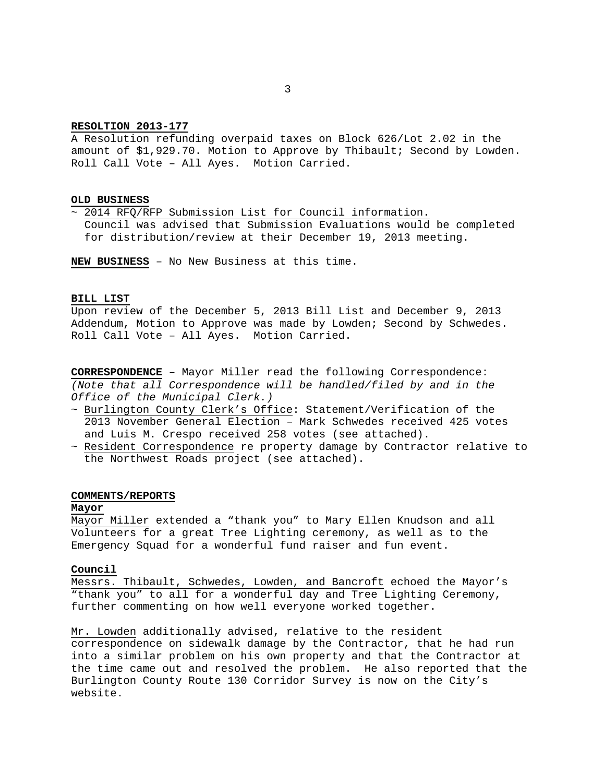### **RESOLTION 2013-177**

A Resolution refunding overpaid taxes on Block 626/Lot 2.02 in the amount of \$1,929.70. Motion to Approve by Thibault; Second by Lowden. Roll Call Vote – All Ayes. Motion Carried.

#### **OLD BUSINESS**

~ 2014 RFQ/RFP Submission List for Council information. Council was advised that Submission Evaluations would be completed for distribution/review at their December 19, 2013 meeting.

**NEW BUSINESS** – No New Business at this time.

# **BILL LIST**

Upon review of the December 5, 2013 Bill List and December 9, 2013 Addendum, Motion to Approve was made by Lowden; Second by Schwedes. Roll Call Vote – All Ayes. Motion Carried.

**CORRESPONDENCE** – Mayor Miller read the following Correspondence: *(Note that all Correspondence will be handled/filed by and in the Office of the Municipal Clerk.)* 

- ~ Burlington County Clerk's Office: Statement/Verification of the 2013 November General Election – Mark Schwedes received 425 votes and Luis M. Crespo received 258 votes (see attached).
- ~ Resident Correspondence re property damage by Contractor relative to the Northwest Roads project (see attached).

#### **COMMENTS/REPORTS**

#### **Mayor**

Mayor Miller extended a "thank you" to Mary Ellen Knudson and all Volunteers for a great Tree Lighting ceremony, as well as to the Emergency Squad for a wonderful fund raiser and fun event.

# **Council**

Messrs. Thibault, Schwedes, Lowden, and Bancroft echoed the Mayor's "thank you" to all for a wonderful day and Tree Lighting Ceremony, further commenting on how well everyone worked together.

Mr. Lowden additionally advised, relative to the resident correspondence on sidewalk damage by the Contractor, that he had run into a similar problem on his own property and that the Contractor at the time came out and resolved the problem. He also reported that the Burlington County Route 130 Corridor Survey is now on the City's website.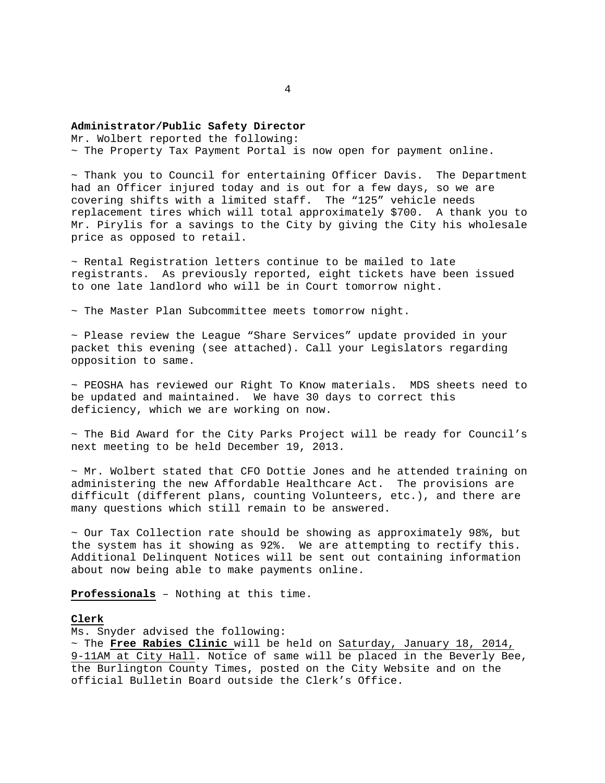#### **Administrator/Public Safety Director**

Mr. Wolbert reported the following: ~ The Property Tax Payment Portal is now open for payment online.

 $\sim$  Thank you to Council for entertaining Officer Davis. The Department had an Officer injured today and is out for a few days, so we are covering shifts with a limited staff. The "125" vehicle needs replacement tires which will total approximately \$700. A thank you to Mr. Pirylis for a savings to the City by giving the City his wholesale price as opposed to retail.

 $\sim$  Rental Registration letters continue to be mailed to late registrants. As previously reported, eight tickets have been issued to one late landlord who will be in Court tomorrow night.

~ The Master Plan Subcommittee meets tomorrow night.

~ Please review the League "Share Services" update provided in your packet this evening (see attached). Call your Legislators regarding opposition to same.

~ PEOSHA has reviewed our Right To Know materials. MDS sheets need to be updated and maintained. We have 30 days to correct this deficiency, which we are working on now.

 $\sim$  The Bid Award for the City Parks Project will be ready for Council's next meeting to be held December 19, 2013.

~ Mr. Wolbert stated that CFO Dottie Jones and he attended training on administering the new Affordable Healthcare Act. The provisions are difficult (different plans, counting Volunteers, etc.), and there are many questions which still remain to be answered.

 $\sim$  Our Tax Collection rate should be showing as approximately 98%, but the system has it showing as 92%. We are attempting to rectify this. Additional Delinquent Notices will be sent out containing information about now being able to make payments online.

**Professionals** – Nothing at this time.

## **Clerk**

Ms. Snyder advised the following:

~ The **Free Rabies Clinic** will be held on Saturday, January 18, 2014, 9-11AM at City Hall. Notice of same will be placed in the Beverly Bee, the Burlington County Times, posted on the City Website and on the official Bulletin Board outside the Clerk's Office.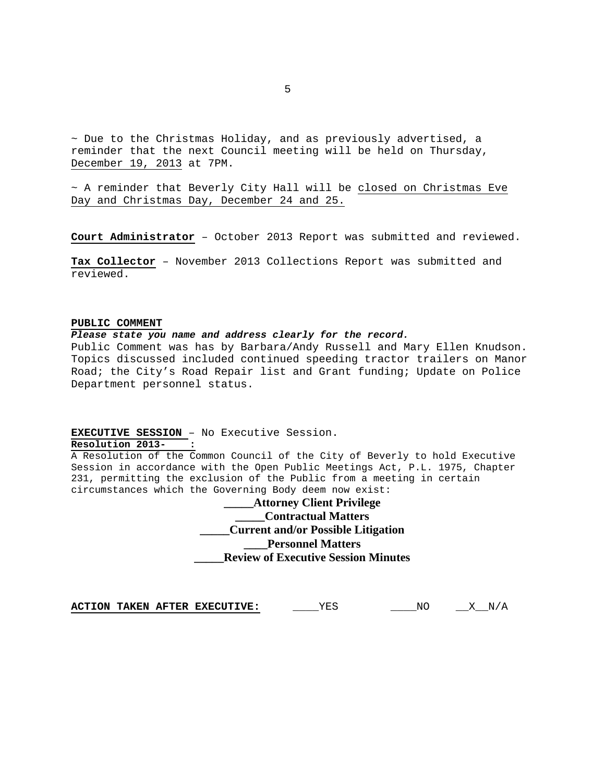~ Due to the Christmas Holiday, and as previously advertised, a reminder that the next Council meeting will be held on Thursday, December 19, 2013 at 7PM.

 $\sim$  A reminder that Beverly City Hall will be closed on Christmas Eve Day and Christmas Day, December 24 and 25.

**Court Administrator** – October 2013 Report was submitted and reviewed.

**Tax Collector** – November 2013 Collections Report was submitted and reviewed.

#### **PUBLIC COMMENT**

#### *Please state you name and address clearly for the record.*

Public Comment was has by Barbara/Andy Russell and Mary Ellen Knudson. Topics discussed included continued speeding tractor trailers on Manor Road; the City's Road Repair list and Grant funding; Update on Police Department personnel status.

## **EXECUTIVE SESSION** – No Executive Session.

# **Resolution 2013- :**

A Resolution of the Common Council of the City of Beverly to hold Executive Session in accordance with the Open Public Meetings Act, P.L. 1975, Chapter 231, permitting the exclusion of the Public from a meeting in certain circumstances which the Governing Body deem now exist:

> **\_\_\_\_\_Attorney Client Privilege \_\_\_\_\_Contractual Matters \_\_\_\_\_Current and/or Possible Litigation \_\_\_\_Personnel Matters \_\_\_\_\_Review of Executive Session Minutes**

**ACTION TAKEN AFTER EXECUTIVE:** \_\_\_\_\_YES \_\_\_\_\_\_NO \_\_\_X\_\_N/A